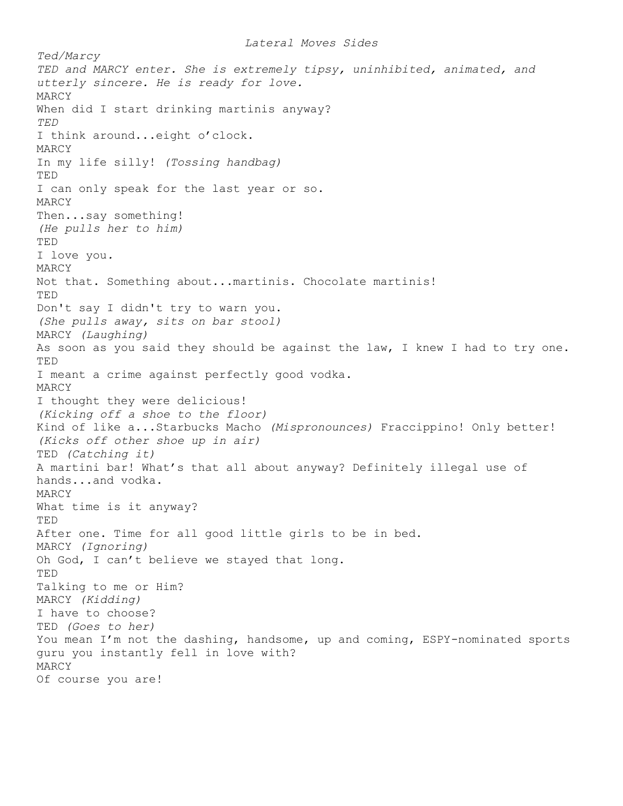*Lateral Moves Sides Ted/Marcy TED and MARCY enter. She is extremely tipsy, uninhibited, animated, and utterly sincere. He is ready for love.*  MARCY When did I start drinking martinis anyway? *TED*  I think around...eight o'clock. MARCY In my life silly! *(Tossing handbag)*  TED I can only speak for the last year or so. MARCY Then...say something! *(He pulls her to him)*  TED I love you*.*  MARCY Not that. Something about...martinis. Chocolate martinis! TED Don't say I didn't try to warn you. *(She pulls away, sits on bar stool)*  MARCY *(Laughing)*  As soon as you said they should be against the law, I knew I had to try one. TED I meant a crime against perfectly good vodka. MARCY I thought they were delicious! *(Kicking off a shoe to the floor)*  Kind of like a...Starbucks Macho *(Mispronounces)* Fraccippino! Only better! *(Kicks off other shoe up in air)*  TED *(Catching it)*  A martini bar! What's that all about anyway? Definitely illegal use of hands...and vodka. MARCY What time is it anyway? TED After one. Time for all good little girls to be in bed. MARCY *(Ignoring)*  Oh God, I can't believe we stayed that long. TED Talking to me or Him? MARCY *(Kidding)*  I have to choose? TED *(Goes to her)*  You mean I'm not the dashing, handsome, up and coming, ESPY-nominated sports guru you instantly fell in love with? MARCY Of course you are!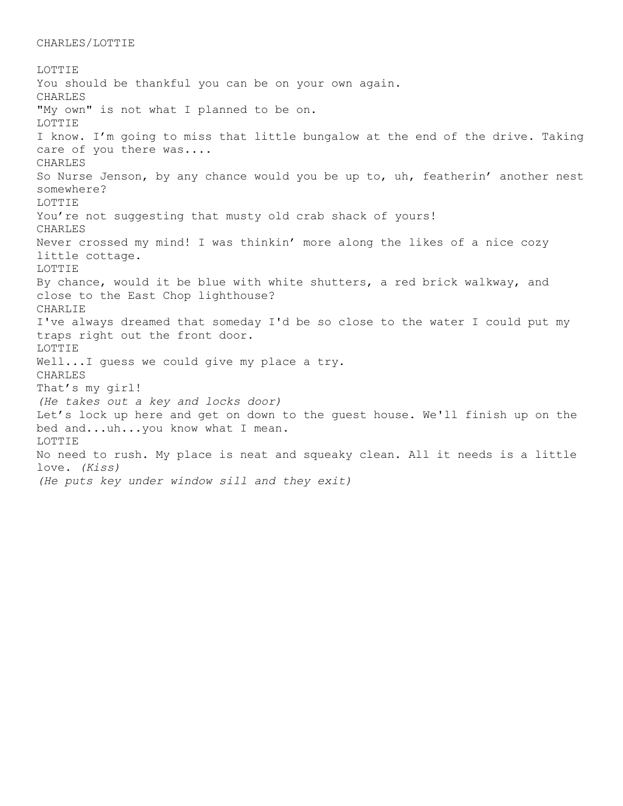## CHARLES/LOTTIE

LOTTIE You should be thankful you can be on your own again. CHARLES "My own" is not what I planned to be on. LOTTIE I know. I'm going to miss that little bungalow at the end of the drive. Taking care of you there was.... CHARLES So Nurse Jenson, by any chance would you be up to, uh, featherin' another nest somewhere? LOTTIE You're not suggesting that musty old crab shack of yours! CHARLES Never crossed my mind! I was thinkin' more along the likes of a nice cozy little cottage. LOTTIE By chance, would it be blue with white shutters, a red brick walkway, and close to the East Chop lighthouse? CHARLIE I've always dreamed that someday I'd be so close to the water I could put my traps right out the front door. LOTTIE Well...I quess we could give my place a try. CHARLES That's my girl! *(He takes out a key and locks door)*  Let's lock up here and get on down to the guest house. We'll finish up on the bed and...uh...you know what I mean. LOTTIE No need to rush. My place is neat and squeaky clean. All it needs is a little love. *(Kiss) (He puts key under window sill and they exit)*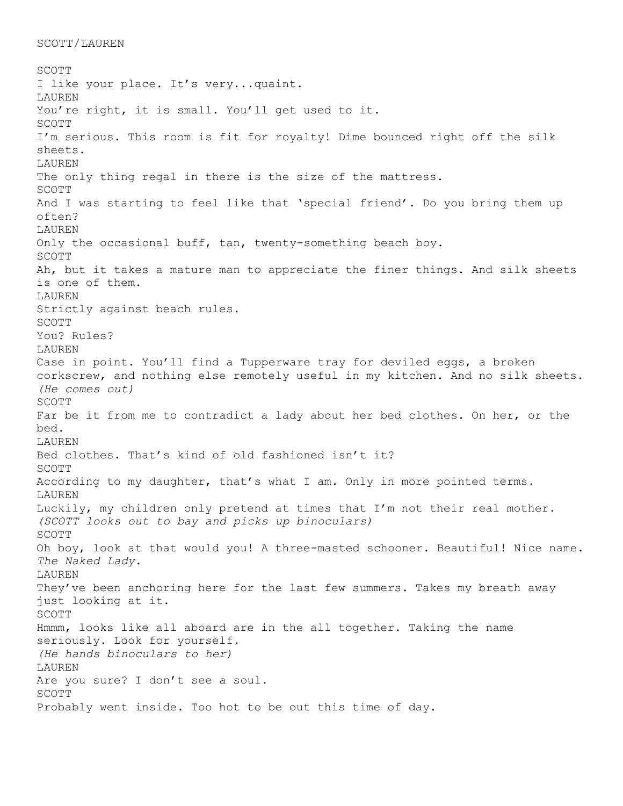```
SCOTT/LAUREN
```
SCOTT I like your place. It's very...quaint. LAUREN You're right, it is small. You'll get used to it. SCOTT I'm serious. This room is fit for royalty! Dime bounced right off the silk sheets. LAUREN The only thing regal in there is the size of the mattress. SCOTT And I was starting to feel like that 'special friend'. Do you bring them up often? LAUREN Only the occasional buff, tan, twenty-something beach boy. SCOTT Ah, but it takes a mature man to appreciate the finer things. And silk sheets is one of them. LAUREN Strictly against beach rules. SCOTT You? Rules? LAUREN Case in point. You'll find a Tupperware tray for deviled eggs, a broken corkscrew, and nothing else remotely useful in my kitchen. And no silk sheets. *(He comes out)*  SCOTT Far be it from me to contradict a lady about her bed clothes. On her, or the bed. LAUREN Bed clothes. That's kind of old fashioned isn't it? SCOTT According to my daughter, that's what I am. Only in more pointed terms. LAUREN Luckily, my children only pretend at times that I'm not their real mother. *(SCOTT looks out to bay and picks up binoculars)*  SCOTT Oh boy, look at that would you! A three-masted schooner. Beautiful! Nice name. *The Naked Lady.*  LAUREN They've been anchoring here for the last few summers. Takes my breath away just looking at it. SCOTT Hmmm, looks like all aboard are in the all together. Taking the name seriously. Look for yourself. *(He hands binoculars to her)*  LAUREN Are you sure? I don't see a soul. SCOTT Probably went inside. Too hot to be out this time of day.